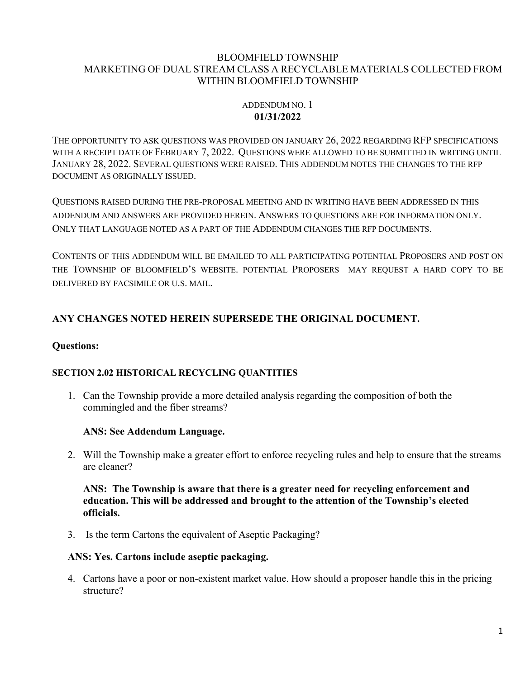#### BLOOMFIELD TOWNSHIP MARKETING OF DUAL STREAM CLASS A RECYCLABLE MATERIALS COLLECTED FROM WITHIN BLOOMFIELD TOWNSHIP

## ADDENDUM NO. 1 **01/31/2022**

THE OPPORTUNITY TO ASK QUESTIONS WAS PROVIDED ON JANUARY 26, 2022 REGARDING RFP SPECIFICATIONS WITH A RECEIPT DATE OF FEBRUARY 7, 2022. QUESTIONS WERE ALLOWED TO BE SUBMITTED IN WRITING UNTIL JANUARY 28, 2022. SEVERAL QUESTIONS WERE RAISED. THIS ADDENDUM NOTES THE CHANGES TO THE RFP DOCUMENT AS ORIGINALLY ISSUED.

QUESTIONS RAISED DURING THE PRE-PROPOSAL MEETING AND IN WRITING HAVE BEEN ADDRESSED IN THIS ADDENDUM AND ANSWERS ARE PROVIDED HEREIN. ANSWERS TO QUESTIONS ARE FOR INFORMATION ONLY. ONLY THAT LANGUAGE NOTED AS A PART OF THE ADDENDUM CHANGES THE RFP DOCUMENTS.

CONTENTS OF THIS ADDENDUM WILL BE EMAILED TO ALL PARTICIPATING POTENTIAL PROPOSERS AND POST ON THE TOWNSHIP OF BLOOMFIELD'S WEBSITE. POTENTIAL PROPOSERS MAY REQUEST A HARD COPY TO BE DELIVERED BY FACSIMILE OR U.S. MAIL.

# **ANY CHANGES NOTED HEREIN SUPERSEDE THE ORIGINAL DOCUMENT.**

# **Questions:**

## **SECTION 2.02 HISTORICAL RECYCLING QUANTITIES**

1. Can the Township provide a more detailed analysis regarding the composition of both the commingled and the fiber streams?

## **ANS: See Addendum Language.**

2. Will the Township make a greater effort to enforce recycling rules and help to ensure that the streams are cleaner?

## **ANS: The Township is aware that there is a greater need for recycling enforcement and education. This will be addressed and brought to the attention of the Township's elected officials.**

3. Is the term Cartons the equivalent of Aseptic Packaging?

## **ANS: Yes. Cartons include aseptic packaging.**

4. Cartons have a poor or non-existent market value. How should a proposer handle this in the pricing structure?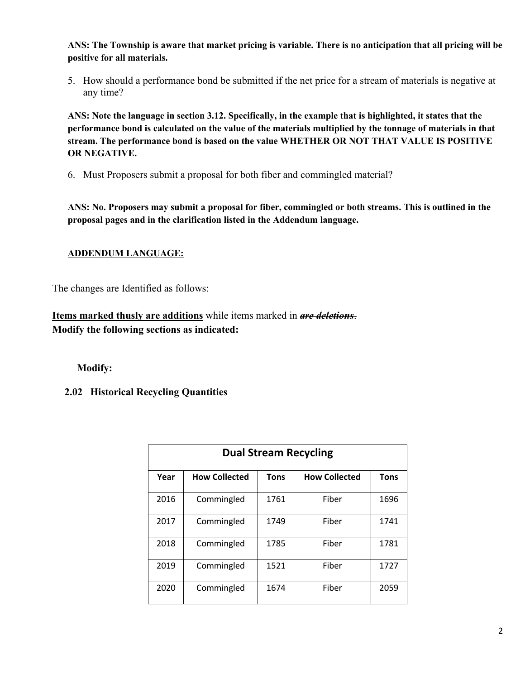**ANS: The Township is aware that market pricing is variable. There is no anticipation that all pricing will be positive for all materials.**

5. How should a performance bond be submitted if the net price for a stream of materials is negative at any time?

**ANS: Note the language in section 3.12. Specifically, in the example that is highlighted, it states that the performance bond is calculated on the value of the materials multiplied by the tonnage of materials in that stream. The performance bond is based on the value WHETHER OR NOT THAT VALUE IS POSITIVE OR NEGATIVE.**

6. Must Proposers submit a proposal for both fiber and commingled material?

**ANS: No. Proposers may submit a proposal for fiber, commingled or both streams. This is outlined in the proposal pages and in the clarification listed in the Addendum language.**

#### **ADDENDUM LANGUAGE:**

The changes are Identified as follows:

**Items marked thusly are additions** while items marked in *are deletions*. **Modify the following sections as indicated:**

#### **Modify:**

## **2.02 Historical Recycling Quantities**

| <b>Dual Stream Recycling</b> |                      |             |                      |             |  |  |
|------------------------------|----------------------|-------------|----------------------|-------------|--|--|
| Year                         | <b>How Collected</b> | <b>Tons</b> | <b>How Collected</b> | <b>Tons</b> |  |  |
| 2016                         | Commingled           | 1761        | Fiber                | 1696        |  |  |
| 2017                         | Commingled           | 1749        | Fiber                | 1741        |  |  |
| 2018                         | Commingled           | 1785        | Fiber                | 1781        |  |  |
| 2019                         | Commingled           | 1521        | Fiber                | 1727        |  |  |
| 2020                         | Commingled           | 1674        | Fiber                | 2059        |  |  |